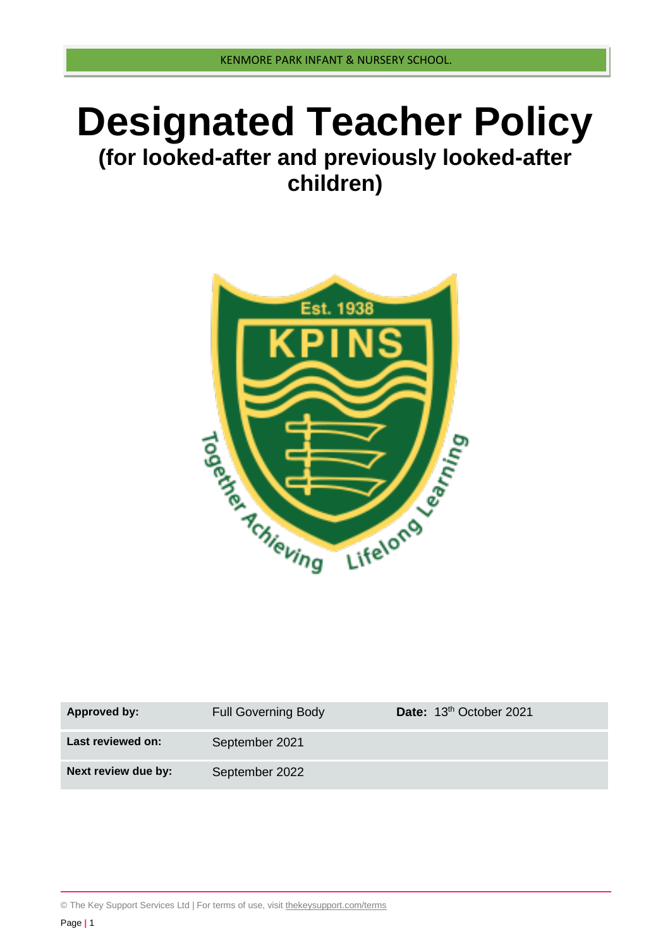# **Designated Teacher Policy**

## **(for looked-after and previously looked-after children)**



| Approved by:        | <b>Full Governing Body</b> | Date: 13th October 2021 |
|---------------------|----------------------------|-------------------------|
| Last reviewed on:   | September 2021             |                         |
| Next review due by: | September 2022             |                         |

© The Key Support Services Ltd | For terms of use, visit [thekeysupport.com/terms](https://thekeysupport.com/terms-of-use)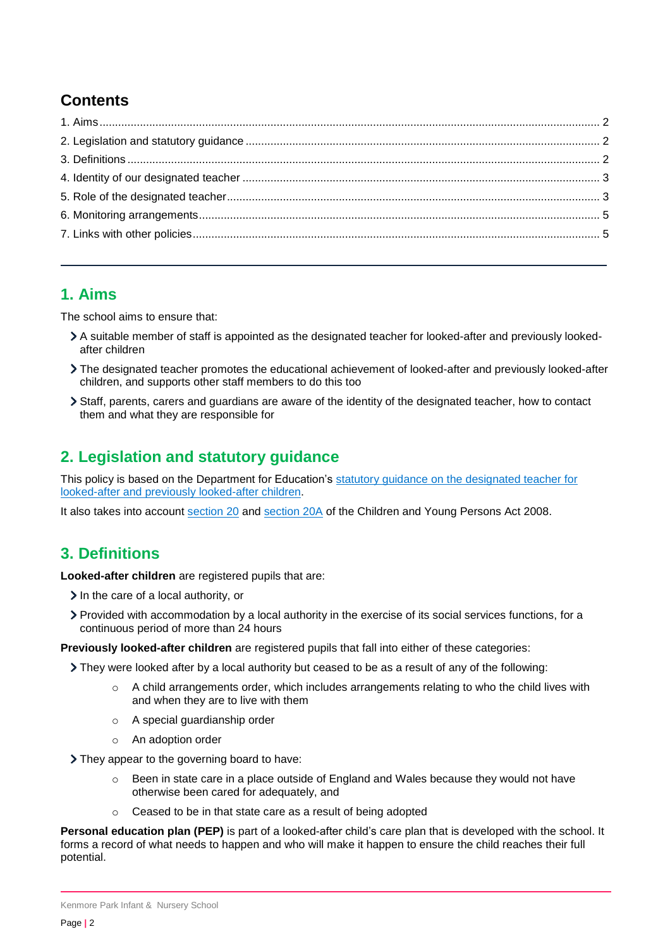## **Contents**

#### <span id="page-1-0"></span>**1. Aims**

The school aims to ensure that:

- A suitable member of staff is appointed as the designated teacher for looked-after and previously lookedafter children
- The designated teacher promotes the educational achievement of looked-after and previously looked-after children, and supports other staff members to do this too
- Staff, parents, carers and guardians are aware of the identity of the designated teacher, how to contact them and what they are responsible for

## <span id="page-1-1"></span>**2. Legislation and statutory guidance**

This policy is based on the Department for Education's [statutory guidance on the designated teacher for](https://www.gov.uk/government/publications/designated-teacher-for-looked-after-children)  [looked-after and previously looked-after children.](https://www.gov.uk/government/publications/designated-teacher-for-looked-after-children)

It also takes into account [section 20](http://www.legislation.gov.uk/ukpga/2008/23/section/20) and [section 20A](http://www.legislation.gov.uk/ukpga/2008/23/section/20A) of the Children and Young Persons Act 2008.

## <span id="page-1-2"></span>**3. Definitions**

**Looked-after children** are registered pupils that are:

- $\sum$  In the care of a local authority, or
- Provided with accommodation by a local authority in the exercise of its social services functions, for a continuous period of more than 24 hours

**Previously looked-after children** are registered pupils that fall into either of these categories:

They were looked after by a local authority but ceased to be as a result of any of the following:

- $\circ$  A child arrangements order, which includes arrangements relating to who the child lives with and when they are to live with them
- o A special guardianship order
- o An adoption order

> They appear to the governing board to have:

- Been in state care in a place outside of England and Wales because they would not have otherwise been cared for adequately, and
- o Ceased to be in that state care as a result of being adopted

**Personal education plan (PEP)** is part of a looked-after child's care plan that is developed with the school. It forms a record of what needs to happen and who will make it happen to ensure the child reaches their full potential.

Kenmore Park Infant & Nursery School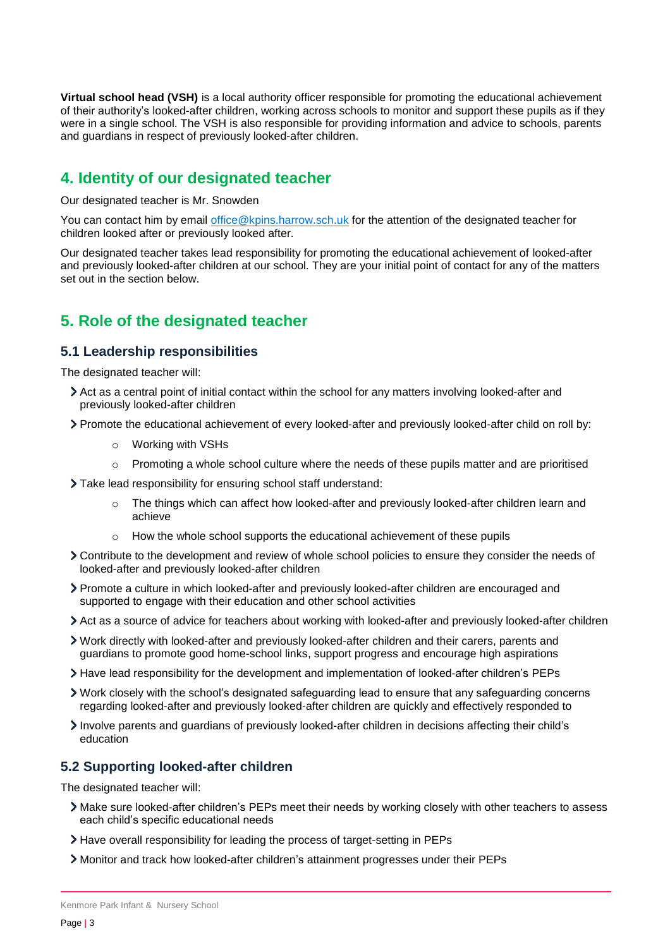**Virtual school head (VSH)** is a local authority officer responsible for promoting the educational achievement of their authority's looked-after children, working across schools to monitor and support these pupils as if they were in a single school. The VSH is also responsible for providing information and advice to schools, parents and guardians in respect of previously looked-after children.

### <span id="page-2-0"></span>**4. Identity of our designated teacher**

Our designated teacher is Mr. Snowden

You can contact him by email [office@kpins.harrow.sch.uk](mailto:office@kpins.harrow.sch.uk) for the attention of the designated teacher for children looked after or previously looked after.

Our designated teacher takes lead responsibility for promoting the educational achievement of looked-after and previously looked-after children at our school. They are your initial point of contact for any of the matters set out in the section below.

## <span id="page-2-1"></span>**5. Role of the designated teacher**

#### **5.1 Leadership responsibilities**

The designated teacher will:

- Act as a central point of initial contact within the school for any matters involving looked-after and previously looked-after children
- Promote the educational achievement of every looked-after and previously looked-after child on roll by:
	- o Working with VSHs
	- $\circ$  Promoting a whole school culture where the needs of these pupils matter and are prioritised

Take lead responsibility for ensuring school staff understand:

- $\circ$  The things which can affect how looked-after and previously looked-after children learn and achieve
- $\circ$  How the whole school supports the educational achievement of these pupils
- Contribute to the development and review of whole school policies to ensure they consider the needs of looked-after and previously looked-after children
- Promote a culture in which looked-after and previously looked-after children are encouraged and supported to engage with their education and other school activities
- Act as a source of advice for teachers about working with looked-after and previously looked-after children
- Work directly with looked-after and previously looked-after children and their carers, parents and guardians to promote good home-school links, support progress and encourage high aspirations
- Have lead responsibility for the development and implementation of looked-after children's PEPs
- Work closely with the school's designated safeguarding lead to ensure that any safeguarding concerns regarding looked-after and previously looked-after children are quickly and effectively responded to
- Involve parents and guardians of previously looked-after children in decisions affecting their child's education

#### **5.2 Supporting looked-after children**

The designated teacher will:

- Make sure looked-after children's PEPs meet their needs by working closely with other teachers to assess each child's specific educational needs
- Have overall responsibility for leading the process of target-setting in PEPs
- Monitor and track how looked-after children's attainment progresses under their PEPs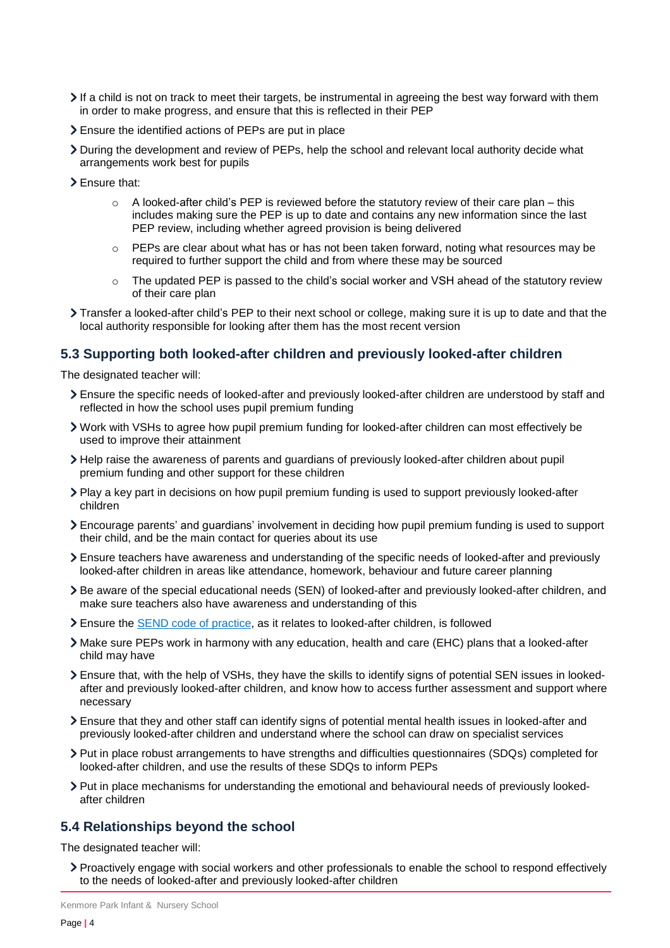- If a child is not on track to meet their targets, be instrumental in agreeing the best way forward with them in order to make progress, and ensure that this is reflected in their PEP
- Ensure the identified actions of PEPs are put in place
- During the development and review of PEPs, help the school and relevant local authority decide what arrangements work best for pupils
- > Ensure that:
	- $\circ$  A looked-after child's PEP is reviewed before the statutory review of their care plan this includes making sure the PEP is up to date and contains any new information since the last PEP review, including whether agreed provision is being delivered
	- $\circ$  PEPs are clear about what has or has not been taken forward, noting what resources may be required to further support the child and from where these may be sourced
	- $\circ$  The updated PEP is passed to the child's social worker and VSH ahead of the statutory review of their care plan
- Transfer a looked-after child's PEP to their next school or college, making sure it is up to date and that the local authority responsible for looking after them has the most recent version

#### **5.3 Supporting both looked-after children and previously looked-after children**

The designated teacher will:

- Ensure the specific needs of looked-after and previously looked-after children are understood by staff and reflected in how the school uses pupil premium funding
- Work with VSHs to agree how pupil premium funding for looked-after children can most effectively be used to improve their attainment
- Help raise the awareness of parents and guardians of previously looked-after children about pupil premium funding and other support for these children
- Play a key part in decisions on how pupil premium funding is used to support previously looked-after children
- Encourage parents' and guardians' involvement in deciding how pupil premium funding is used to support their child, and be the main contact for queries about its use
- Ensure teachers have awareness and understanding of the specific needs of looked-after and previously looked-after children in areas like attendance, homework, behaviour and future career planning
- Be aware of the special educational needs (SEN) of looked-after and previously looked-after children, and make sure teachers also have awareness and understanding of this
- Ensure the [SEND code of practice,](https://www.gov.uk/government/publications/send-code-of-practice-0-to-25) as it relates to looked-after children, is followed
- Make sure PEPs work in harmony with any education, health and care (EHC) plans that a looked-after child may have
- Ensure that, with the help of VSHs, they have the skills to identify signs of potential SEN issues in lookedafter and previously looked-after children, and know how to access further assessment and support where necessary
- Ensure that they and other staff can identify signs of potential mental health issues in looked-after and previously looked-after children and understand where the school can draw on specialist services
- Put in place robust arrangements to have strengths and difficulties questionnaires (SDQs) completed for looked-after children, and use the results of these SDQs to inform PEPs
- Put in place mechanisms for understanding the emotional and behavioural needs of previously lookedafter children

#### **5.4 Relationships beyond the school**

The designated teacher will:

Proactively engage with social workers and other professionals to enable the school to respond effectively to the needs of looked-after and previously looked-after children